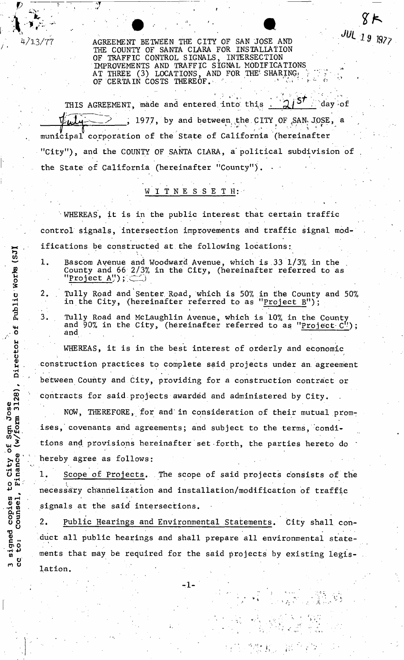4/13/77 AGREEMENT BETWEEN THE CITY OF SAN JOSE AND THE COUNTY OF SANTA CLARA FOR INSTALLATION OF TRAFFIC CONTROL SIGNALS, INTERSECTION IMPROVEMENTS AND TRAFFIC SIGNAL MODIFICATIONS AT THREE (3) LOCATIONS, AND FOR THE SHARING  $\frac{1}{2}$ OF CERTAIN COSTS THEREOF.  $\mathbb{R}^n$  is the set of  $\mathbb{R}^n$  and  $\mathbb{R}^n$  **JUL 19 1977** 

*' , . >f / •*  THIS AGREEMENT, made and entered into this  $\mathcal{A}$  and  $\mathcal{A}$  and  $\mathcal{A}$ , 1977, by and between the CITY OF SAN JOSE, a municipal corporation of the State of California (hereinafter "City"), and the COUNTY OF SANTA CLARA, a political subdivision of the State of California (hereinafter "County").

# WITNESSETH:

• WHEREAS, it is in the public interest that certain traffic control signals, intersection improvements and traffic signal modifications be constructed at the following locations:

 $\sim$  1. Bascom Avenue and Woodward Avenue, which is 33 1/3% in the  $\mathfrak{g}$  County and 66 2/3% in the City, (hereinafter referred to as Project A");  $\subset$ 

 $\mathbf{u} = \mathbf{u}$  . . Tully Road and Senter Road, which is 50% in the County and 50%  $\mathbf{u}$ in the City, (hereinafter referred to as "Project B");

 $\tilde{\mathsf{a}}$  3. Tully Road and McLaughlin Avenue, which is 10% in the County  $_{\mathbf{\mu}_{\mathbf{I}}}$  and 90% in the City, (hereinafter referred to as "Project C"); e and<br> **b** and

*/ '* • . M  $\ddot{\mu}$  whereas, it is in the best interest of orderly and economic u<br>Waanatuu ati amanaatinga ta'aanalaha aaid amainata waley ahaanaan u . construction practices to complete said projects under an. agreement between County and City, providing for a construction contract or contracts for said projects awarded and administered by City.

NOW, THEREFORE, for and in consideration of their mutual promises, covenants and agreements; and subject to the terms, condi- $\mu$  3 tions and provisions hereinafter set forth, the parties hereto d tions and provisions hereinafter set forth, the parties hereto do \*

 $\begin{array}{c} 0 \rightarrow \text{here by agree as follows:} \\ 0 \rightarrow \text{Here} \\ 1. \end{array}$ Scope of Projects. The scope of said projects consists of the  $\mathbf{r} = \mathbf{r} \times \mathbf{r}$  ,  $\mathbf{r} = \mathbf{r} \times \mathbf{r}$  ,  $\mathbf{r} = \mathbf{r} \times \mathbf{r}$  ,  $\mathbf{r} = \mathbf{r} \times \mathbf{r}$  ,  $\mathbf{r} = \mathbf{r} \times \mathbf{r}$  ,  $\mathbf{r} = \mathbf{r} \times \mathbf{r}$  ,  $\mathbf{r} = \mathbf{r} \times \mathbf{r}$  ,  $\mathbf{r} = \mathbf{r} \times \mathbf{r}$  ,  $\mathbf{r} = \mathbf{r$ necessary channelization and installation/modification of traffic signals at the said intersections.

2. Public Hearings and Environmental Statements. City shall conduct all public hearings and shall prepare all environmental statements that may be required for the said projects by existing legislation.

 $\frac{1}{2}$ 

r gil

 $\mathbf{C}$  ,

-1-

£ u *m* u (SJ) **•a** Director  $\ddot{\phantom{a}}$ 0) r-H ช $\mathcal{\Sigma}$ ์ to City o e copies<br>Counsel, ned<br>:<br>:  $\mathbf{c}$  $\mathbf{H}$  + P  $\mathbf{H}$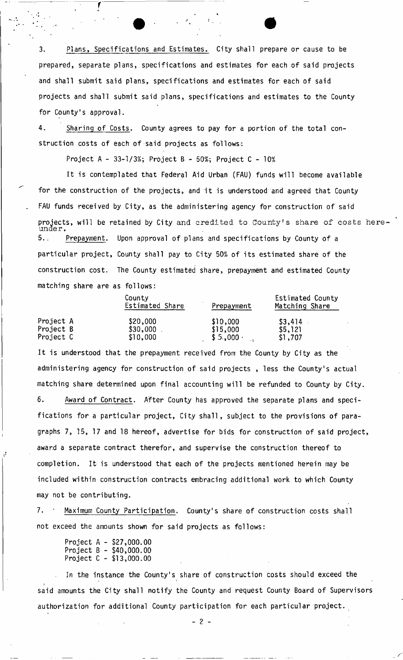3. Plans, Specifications and Estimates, City shall prepare or cause to be prepared, separate plans, specifications and estimates for each of said projects and shall submit said plans, specifications and estimates for each of said projects and shall submit said plans, specifications and estimates to the County for County's approval.

4. Sharing of Costs. County agrees to pay for a portion of the total construction costs of each of said projects as follows:

Project A - 33-1/3%; Project B - 50%; Project C - 10%

It is contemplated that Federal Aid Urban (FAU) funds will become available for the construction of the projects, and it is understood and agreed that County FAU funds received by City, as the administering agency for construction of said projects, will be retained by City and credited to County's share of costs here under. 5., Prepayment. Upon approval of plans and specifications by County of a particular project, County shall pay to City 50% of its estimated share of the construction cost. The County estimated share, prepayment and estimated County matching share are as follows:

|           | County<br>Estimated Share | Prepayment      | Estimated County<br>Matching Share |  |
|-----------|---------------------------|-----------------|------------------------------------|--|
| Project A | \$20,000                  | \$10,000        | \$3,414                            |  |
| Project B | \$30,000                  | \$15,000        | \$5,121                            |  |
| Project C | \$10,000                  | \$5,000<br>$-2$ | \$1,707                            |  |

It is understood that the prepayment received from the County by City as the administering agency for construction of said projects , less the County's actual matching share determined upon final accounting will be refunded to County by City. 6. Award of Contract. After County has approved the separate plans and specifications for a particular project, City shall, subject to the provisions of paragraphs 7, 15, 17 and 18 hereof, advertise for bids for construction of said project, award a separate contract therefor, and supervise the construction thereof to completion. It is understood that each of the projects mentioned herein may be included within construction contracts embracing additional work to which County may not be contributing.

7. ' Maximum County Participation. County's share of construction costs shall not exceed the amounts shown for said projects as follows:

| Project A –   |  | \$27,000.00 |
|---------------|--|-------------|
| Project $B -$ |  | \$40,000.00 |
| Project C -   |  | \$13,000.00 |

In the instance the County's share of construction costs should exceed the *t*  said amounts the City shall notify the County and request County Board of Supervisors authorization for additional County participation for each particular project.

**- 2 -**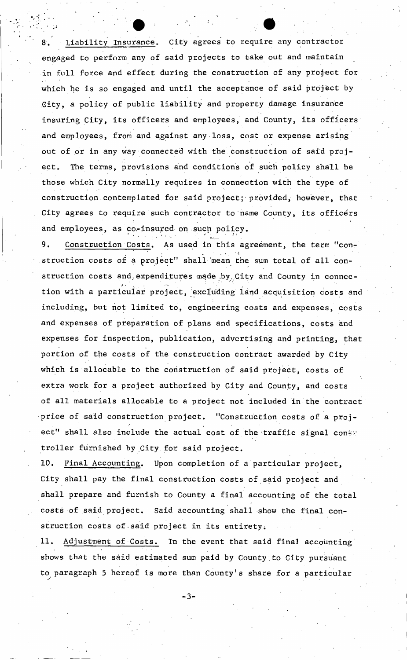Liability Insurance. City agrees to require any contractor engaged to perform any of said projects to take out and maintain in full force and effect during the construction of any project for which he is so engaged and until the acceptance of said project by .City, a policy of public liability and property damage insurance insuring City, its officers and employees, and County, its officers and employees, from and against any-loss, cost or expense arising out of or in any way connected with the construction of said project. The terms, provisions and conditions of such policy shall be those which City normally requires in connection with the type of construction contemplated for said project; provided, however, that City agrees to require such contractor to name County, its officers and employees, as co-insured on such policy.

Construction Costs. As used in this agreement, the term "con-9. 9. Construction Costs. As used in this agreement, the term "construction costs of a project" shall 'mean the sum total of all construction costs and, expenditures made by City and County in connec-<br>tion with a particular project, excluding land acquisition costs and tion with a particular project, excluding land acquisition costs and including, but not limited to, engineering costs and expenses, costs and expenses, costs and expenses, costs a and expenses of preparation of plans and specifications, costs and expenses for inspection, publication, advertising and printing, that<br>portion of the costs of the construction contract awarded by City portion of the costs of the costs of the costs of the costs of the construction contract awarded by  $C$ which is allocated to the construction of said project, costs of said project, costs of said project, costs of extra work for a project authorized by City and County, and costs of all materials allocable to a project not included in the contract<br>price of said construction project. "Construction costs of a projprice of said construction project. "Construction costs of a projection is shall also include the actual cost of the actual cost of the traffic signal correlation  $\mathcal{L}^{\mathcal{L}}$ troller furnished by City for said project.

10. Final Accounting. Upon completion of a particular project, City shall pay the final construction costs of said project and shall prepare and furnish to County a final accounting of the total<br>costs of said project. Said accounting shall show the final concosts of said project. Said accounting shall show the final construction costs of•said project in its entirety. The costs of the costs of the costs of

11. Adjustment of Costs. In the event that said final accounting shows that the said estimated sum paid by County to City pursuant  $\frac{1}{2}$  ,  $\frac{1}{2}$  ,  $\frac{1}{2}$  is more than  $\frac{1}{2}$  share for a particular share for a particular share  $\frac{1}{2}$ 

**- 3 -**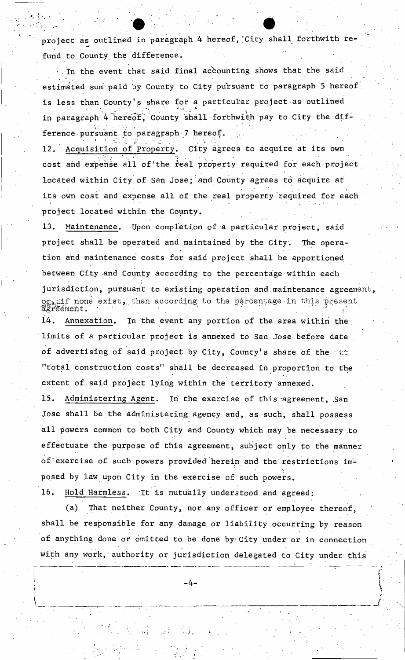project as outlined in paragraph 4 hereof, City shall forthwith refund to County the difference.

In the event that said final accounting shows that the said estimated sum paid by County to City pursuant to paragraph '5 hereof is less than County's share for a particular project as outlined in paragraph 4 hereof, County shall forthwith pay to City the dif- $\mathcal{N} \supseteq \{ \ast \infty \mid \ast \infty \mid \mathcal{N} \in \mathcal{N} \}$  . The set of  $\mathcal{N} \supseteq \{ \ast \infty \mid \ast \infty \}$ ference pursuant to paragraph  $7$  hereof.  $\qquad \qquad$ 

12. Acquisition of Property. City agrees to acquire at its own cost and expense all of the real property required for each project located within City of San Jose; and County agrees to acquire at its own cost and expense all of the real property required for each project located within the County.

13. Maintenance. Upon completion of a particular project, said project shall be operated and maintained by the City. The operation and maintenance costs for said project shall be apportioned between City and County according to the percentage within each jurisdiction, pursuant to existing operation and maintenance agreement, orgif none exist, then according to the percentage in this present agreement.  $\blacksquare$ 14. Annexation. In the event any portion of the area within the limits of a particular project is annexed to San Jose before date of advertising of said project by City, County's share of the  $\cos$ "total construction costs" shall be decreased in proportion to the

extent of said project lying within the territory annexed.

15. Administering Agent. In the exercise of this agreement, San Jose shall be the administering agency and, as such, shall possess all powers common to both City and County which may be necessary to effectuate the purpose of this agreement, subject only to the manner of'exercise of such powers provided herein and the restrictions imposed by law upon City in the exercise of such powers.

16. Hold Harmless. It is mutually understood and agreed:

(a) That neither County, nor any officer or employee thereof, shall be responsible for any damage or liability occurring by reason of anything done or omitted to be done by City under or in connection with any work, authority or jurisdiction delegated to City under this

 $-4-$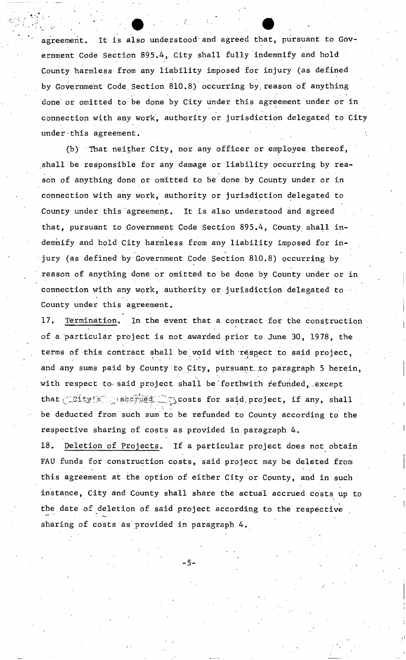agreement. It is also understood'and agreed that, pursuant to Government Code Section 895.4, City shall fully indemnify and hold County harmless from any liability imposed for injury (as defined by Government Code Section 810.8) occurring by reason of anything done or omitted to be done by City under this agreement under or in connection with any work, authority or jurisdiction delegated to City under this agreement.

(b) That neither City, nor any officer or employee thereof, shall be responsible for any damage or liability occurring by reason of anything done or omitted to be done by County under or in connection with any work, authority or jurisdiction delegated to County under this agreement. It is also understood and agreed that, pursuant to Government Code Section 895.4, County shall indemnify and hold City harmless from any liability imposed for injury (as defined by Government Code Section 810.8) occurring by reason of anything done or omitted to be done by County under or in connection with any work, authority or jurisdiction delegated to • County under this agreement.

17. Termination. In the event that a contract for the construction of a particular project is not awarded prior to June 30, 1978, the terms of this contract shall be void with respect to said project, and any sums paid by County to City, pursuant to paragraph 5 herein, with respect to said project shall be forthwith refunded, except that  $\text{Ccty(s)}$  accrued  $\text{C}$  costs for said project, if any, shall be deducted from such sum to be refunded to County according to the respective sharing of costs as provided in paragraph 4.

respective sharing of costs as provided in paragraph 4 . FAU funds for construction costs, said project may be deleted from this agreement at the option of either City or County, and in such instance, City and County shall share the actual accrued costs up to the date of deletion of said project according to the respective the date of deletion of said project according to the respective  $\mathcal{I}_\text{c}$ sharing of costs as provided in paragraph 4 .

**- 5-**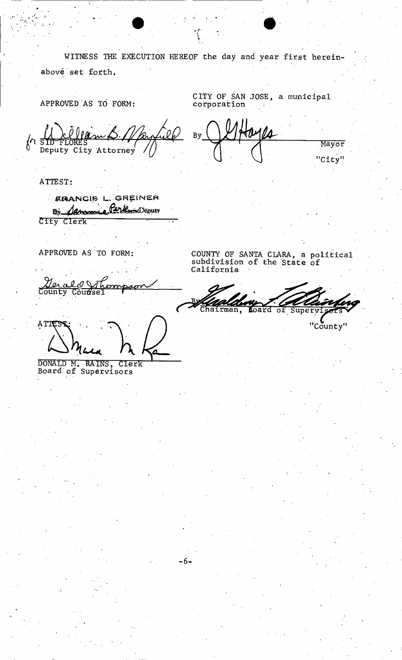WITNESS THE EXECUTION HEREOF the day and' year first hereinabove set forth.

**- i.** 

APPROVED AS TO FORM:

CITY OF.SAN JOSE, a municipal corporation

By The FLORES<br>
Deputy City Attorney Mayor "City"

ATTEST

ARANCIS L. GREINER Bi Samme Perkun Deputy City Clerk ! " ~

APPROVED AS TO FORM:

<u>al 1</u> Ιøί <u>sv</u> County Counsel

ATIES

DONALD M. RAINS, Clerk Board of Supervisors

COUNTY OF SANTA CLARA, a political subdivision of the State of California

ï₫ of Super<sup>®</sup>

"County"

 $-6-$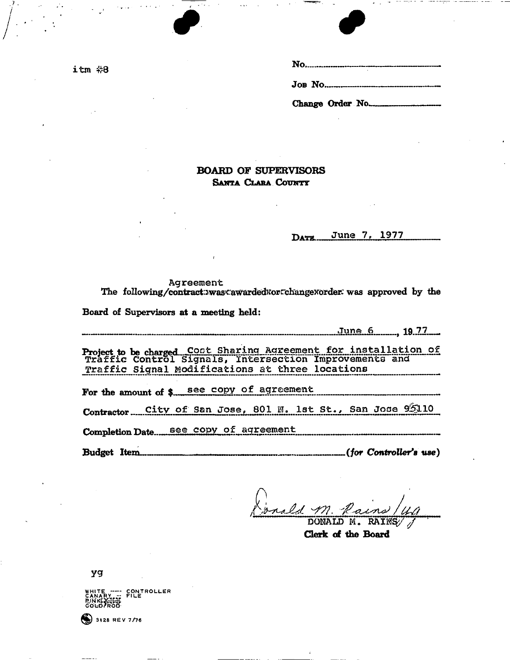**itro #8**

| JOB. No          |
|------------------|
| Change Order No. |

## **BOARD OF SUPERVISORS SANTA CLARA COUNTY**

 $\bullet$   $\bullet$ 

DATE June 7, 1977

# Agreement<br>The following/contract:>was<awarded\*orcchange\*order: was approved by the **The foUowing/contract:Jwas^:awarded^orrchangexordier: was approved by the**

**Board of Supervisors at a meeting held:** 

**Jun e 6** 19 **7 7 \_**  *mmmmmmm mmmm mmm\* +m m •* WW— *• mm* • MmiHl 1 imibibiiti J *%rm* 

**Project to be charged..** Coot Sharing Agreement for installation of Traffic Control slgnaIs, intersection TmpFovemerits and Traffic Signal Modifications at three locations

For the amount of \$ see copy of agreement

Contractor City of San Jose, 801 N. 1st St., San Jose 95110

**Completion Date** see copy of agreement

Budget Item<sub></sub> *use*) **Budget Item** *m s use*)

onald M.

**Clerk of the Board** 

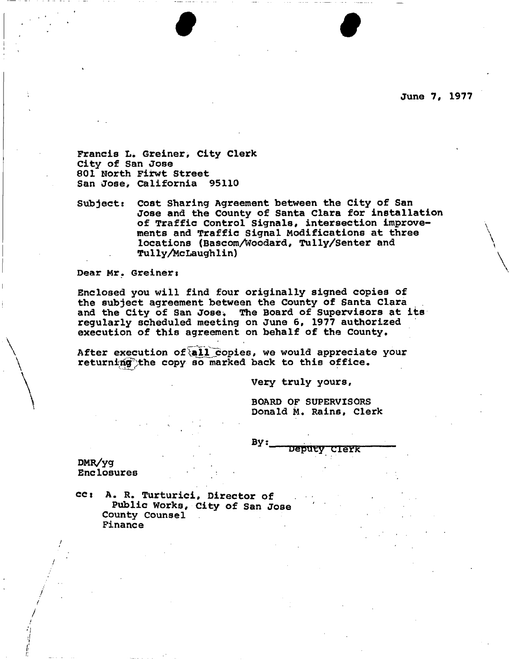**June 7, 1977** 

**Francis L. Greiner, City Clerk City of San Jose 801 North Firwt Street San Jose, California 95110** 

**Subject: Cost Sharing Agreement between the City of San Jose and the County of Santa Clara for installation of Traffic Control Signals, intersection improvements and Traffic Signal Modifications at three locations (Bascom/Woodard, Tully/Senter and Tu 1 ly/klc Laugh 1 i n)** 

**I I I I I** 

Dear Mr. Greiner:

**Enclosed you will find four originally signed copies of the subject agreement between the County of Santa Clara and the City of San Jose. The Board of Supervisors at its regularly scheduled meeting on June 6, 1977 authorized execution of this agreement on behalf of the County.** 

After execution of all copies, we would appreciate your **returning^the copy so marked back to this office.** 

**Very truly yours.** 

**BOARD OF SUPERVISORS Donald M . Rains, Clerk** 

**By s**  Deputy **CIEYK** 

**DMR/yg Enclosures** 

**ccj A . R. Turturici, Director of Public Works, City of San Jose County Counsel Finance**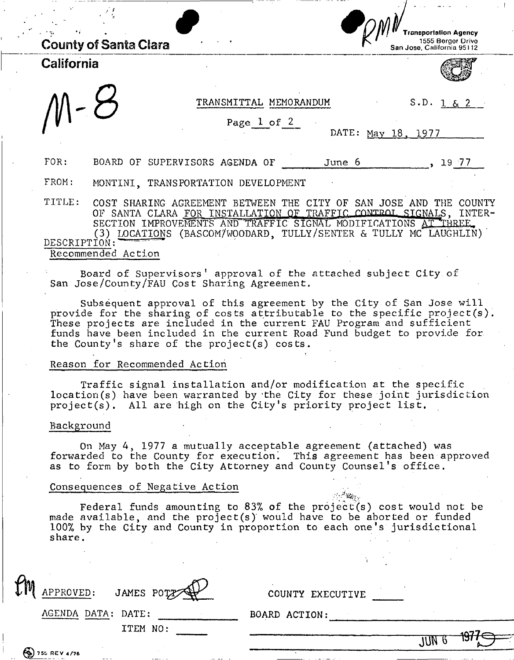|              |                              |                                     |                 |                        |        | Transportation Agency<br>1555 Berger Drive<br>San Jose, California 95112                                                             |
|--------------|------------------------------|-------------------------------------|-----------------|------------------------|--------|--------------------------------------------------------------------------------------------------------------------------------------|
| California   | <b>County of Santa Clara</b> |                                     |                 |                        |        |                                                                                                                                      |
|              |                              |                                     |                 |                        |        |                                                                                                                                      |
|              |                              |                                     |                 |                        |        |                                                                                                                                      |
|              |                              |                                     |                 | TRANSMITTAL MEMORANDUM |        | S.D. 1 & 2                                                                                                                           |
|              |                              |                                     | Page $1$ of $2$ |                        |        |                                                                                                                                      |
|              |                              |                                     |                 |                        |        | DATE: May 18, 1977                                                                                                                   |
| FOR:         |                              | BOARD OF SUPERVISORS AGENDA OF      |                 |                        | June 6 | , 1977                                                                                                                               |
| FROM:        |                              | MONTINI, TRANSPORTATION DEVELOPMENT |                 |                        |        |                                                                                                                                      |
| TITLE:       |                              | COST SHARING AGREEMENT BETWEEN THE  |                 |                        |        | CITY OF SAN JOSE AND THE COUNTY                                                                                                      |
|              |                              |                                     |                 |                        |        | OF SANTA CLARA FOR INSTALLATION OF TRAFFIC CONTROL SIGNALS, INTER-<br>SECTION IMPROVEMENTS AND TRAFFIC SIGNAL MODIFICATIONS AT THREE |
|              |                              |                                     |                 |                        |        | (3) LOCATIONS (BASCOM/WOODARD, TULLY/SENTER & TULLY MC LAUGHLIN)                                                                     |
| DESCRIPTION: |                              |                                     |                 |                        |        |                                                                                                                                      |
|              | Recommended Action           |                                     |                 |                        |        |                                                                                                                                      |

Board of Supervisors' approval of the attached subject City of San Jose/County/FAU Cost Sharing Agreement.

Subsequent approval of this agreement by the City of San Jose will provide for the sharing of costs attributable to the specific project(s). These projects are included in the current FAU Program and sufficient funds have been included in the current Road Fund budget to provide for the County's share of the project(s) costs.

#### Reason for Recommended Action

Traffic signal installation and/or modification at the specific location(s) have been warranted by 'the City for these joint jurisdiction project(s). All are high on the City's priority project list.

#### Background

On May 4, 1977 a mutually acceptable agreement (attached) was forwarded to the County for execution. This agreement has been approved as to form by both the City Attorney and County Counsel's office.

#### Consequences of Negative Action

Federal funds amounting to 83% of the project(s) cost would not be made available, and the project(s) would have to be aborted or funded 100% by the City and County in proportion to each one's jurisdictional share.

| tm | APPROVED:          | JAMES POTZ | COUNTY EXECUTIVE |     |         |
|----|--------------------|------------|------------------|-----|---------|
|    | AGENDA DATA: DATE: |            | BOARD ACTION:    |     |         |
|    |                    | ITEM NO:   |                  |     |         |
|    |                    |            |                  | JÜN | $-1977$ |
|    | $(9)$ 755 REV 4/76 |            |                  |     |         |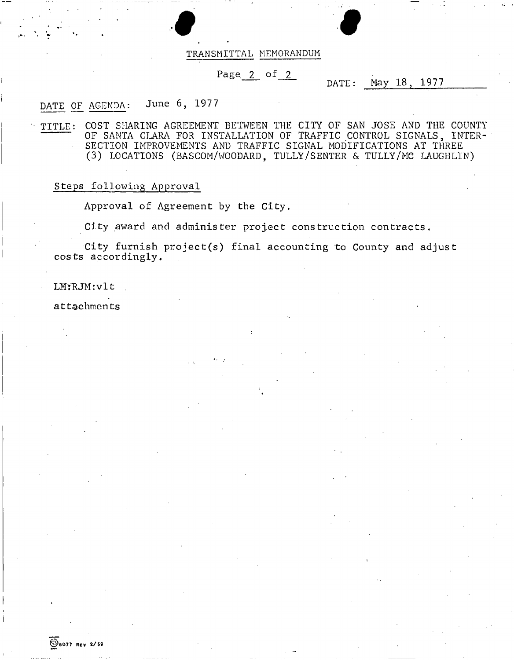

#### TRANSMITTAL MEMORANDUM

## Page  $2$  of  $2$

## DATE: May 18, 1977

## DATE OF AGENDA: June 6, 1977

TITLE: COST SHARING AGREEMENT BETWEEN THE CITY OF SAN JOSE AND THE COUNTY OF SANTA CLARA FOR INSTALLATION OF TRAFFIC CONTROL SIGNALS, INTER-SECTION IMPROVEMENTS AND TRAFFIC SIGNAL MODIFICATIONS AT THREE (3) LOCATIONS (BASCOM/WOODARD, TULLY/SENTER & TULLY/MC LAUGHLIN)

## Steps following Approval

Approval of Agreement by the City.

City award and administer project construction contracts.

City furnish project(s) final accounting to County and adjust costs accordingly.

## LM: RJM: vlt

attachments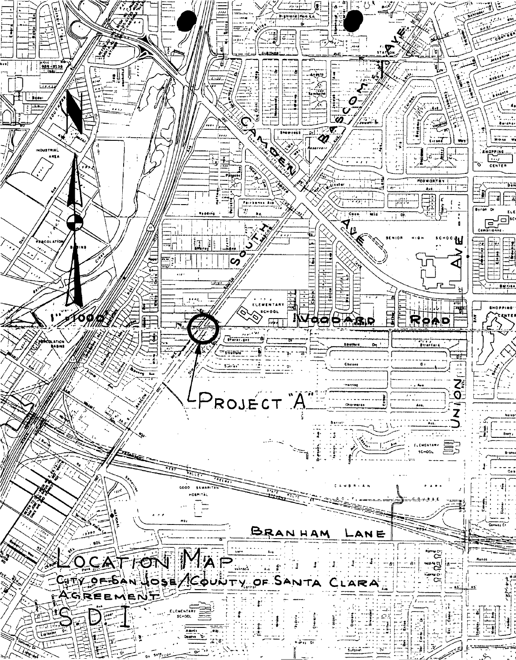